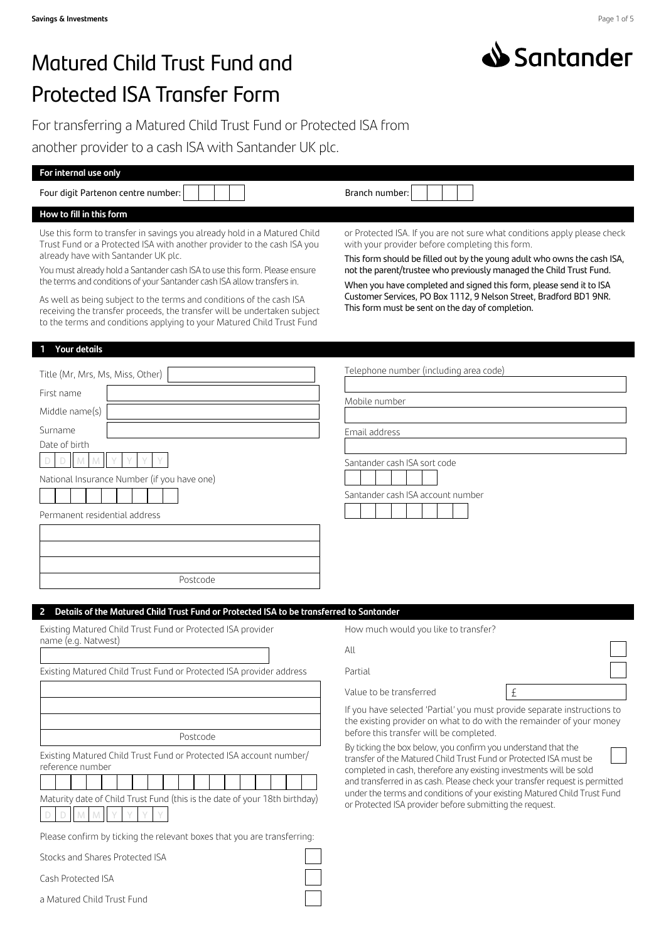

# Matured Child Trust Fund and Protected ISA Transfer Form

For transferring a Matured Child Trust Fund or Protected ISA from another provider to a cash ISA with Santander UK plc.

| For internal use only                                                                                                                                                                                                                                                                                                                                                                                                                                                                                                                                                            |                                                                                                                                                                                                                                                                                                                                                                                                                                                                                                                                                                                                                                |  |
|----------------------------------------------------------------------------------------------------------------------------------------------------------------------------------------------------------------------------------------------------------------------------------------------------------------------------------------------------------------------------------------------------------------------------------------------------------------------------------------------------------------------------------------------------------------------------------|--------------------------------------------------------------------------------------------------------------------------------------------------------------------------------------------------------------------------------------------------------------------------------------------------------------------------------------------------------------------------------------------------------------------------------------------------------------------------------------------------------------------------------------------------------------------------------------------------------------------------------|--|
| Four digit Partenon centre number:                                                                                                                                                                                                                                                                                                                                                                                                                                                                                                                                               | Branch number:                                                                                                                                                                                                                                                                                                                                                                                                                                                                                                                                                                                                                 |  |
| How to fill in this form                                                                                                                                                                                                                                                                                                                                                                                                                                                                                                                                                         |                                                                                                                                                                                                                                                                                                                                                                                                                                                                                                                                                                                                                                |  |
| Use this form to transfer in savings you already hold in a Matured Child<br>Trust Fund or a Protected ISA with another provider to the cash ISA you<br>already have with Santander UK plc.<br>You must already hold a Santander cash ISA to use this form. Please ensure<br>the terms and conditions of your Santander cash ISA allow transfers in.<br>As well as being subject to the terms and conditions of the cash ISA<br>receiving the transfer proceeds, the transfer will be undertaken subject<br>to the terms and conditions applying to your Matured Child Trust Fund | or Protected ISA. If you are not sure what conditions apply please check<br>with your provider before completing this form.<br>This form should be filled out by the young adult who owns the cash ISA,<br>not the parent/trustee who previously managed the Child Trust Fund.<br>When you have completed and signed this form, please send it to ISA<br>Customer Services, PO Box 1112, 9 Nelson Street, Bradford BD1 9NR.<br>This form must be sent on the day of completion.                                                                                                                                                |  |
| <b>Your details</b>                                                                                                                                                                                                                                                                                                                                                                                                                                                                                                                                                              |                                                                                                                                                                                                                                                                                                                                                                                                                                                                                                                                                                                                                                |  |
| Title (Mr, Mrs, Ms, Miss, Other)<br>First name<br>Middle name(s)<br>Surname<br>Date of birth<br>D.<br>National Insurance Number (if you have one)<br>Permanent residential address<br>Postcode                                                                                                                                                                                                                                                                                                                                                                                   | Telephone number (including area code)<br>Mobile number<br>Email address<br>Santander cash ISA sort code<br>Santander cash ISA account number                                                                                                                                                                                                                                                                                                                                                                                                                                                                                  |  |
|                                                                                                                                                                                                                                                                                                                                                                                                                                                                                                                                                                                  |                                                                                                                                                                                                                                                                                                                                                                                                                                                                                                                                                                                                                                |  |
| Details of the Matured Child Trust Fund or Protected ISA to be transferred to Santander<br>Existing Matured Child Trust Fund or Protected ISA provider<br>name (e.g. Natwest)<br>Existing Matured Child Trust Fund or Protected ISA provider address                                                                                                                                                                                                                                                                                                                             | How much would you like to transfer?<br>All<br>Partial<br>Value to be transferred<br>£                                                                                                                                                                                                                                                                                                                                                                                                                                                                                                                                         |  |
| Postcode<br>Existing Matured Child Trust Fund or Protected ISA account number/<br>reference number<br>Maturity date of Child Trust Fund (this is the date of your 18th birthday)<br>D.<br>M<br>Please confirm by ticking the relevant boxes that you are transferring:<br>Stocks and Shares Protected ISA<br>Cash Protected ISA                                                                                                                                                                                                                                                  | If you have selected 'Partial' you must provide separate instructions to<br>the existing provider on what to do with the remainder of your money<br>before this transfer will be completed.<br>By ticking the box below, you confirm you understand that the<br>transfer of the Matured Child Trust Fund or Protected ISA must be<br>completed in cash, therefore any existing investments will be sold<br>and transferred in as cash. Please check your transfer request is permitted<br>under the terms and conditions of your existing Matured Child Trust Fund<br>or Protected ISA provider before submitting the request. |  |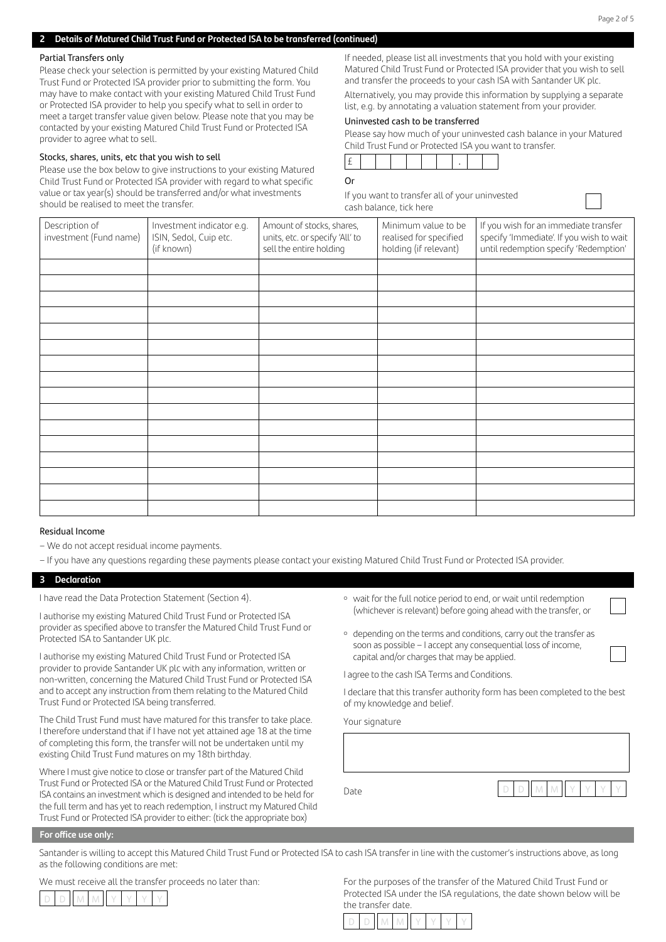# Partial Transfers only

Please check your selection is permitted by your existing Matured Child Trust Fund or Protected ISA provider prior to submitting the form. You may have to make contact with your existing Matured Child Trust Fund or Protected ISA provider to help you specify what to sell in order to meet a target transfer value given below. Please note that you may be contacted by your existing Matured Child Trust Fund or Protected ISA provider to agree what to sell.

# Stocks, shares, units, etc that you wish to sell

Please use the box below to give instructions to your existing Matured Child Trust Fund or Protected ISA provider with regard to what specific value or tax year(s) should be transferred and/or what investments should be realised to meet the transfer.

If needed, please list all investments that you hold with your existing Matured Child Trust Fund or Protected ISA provider that you wish to sell and transfer the proceeds to your cash ISA with Santander UK plc.

Alternatively, you may provide this information by supplying a separate list, e.g. by annotating a valuation statement from your provider.

# Uninvested cash to be transferred

|                                                         | Please say how much of your uninvested cash balance in your Matured |
|---------------------------------------------------------|---------------------------------------------------------------------|
| Child Trust Fund or Protected ISA you want to transfer. |                                                                     |

# Or

If you want to transfer all of your uninvested cash balance, tick here

| Description of<br>Minimum value to be<br>If you wish for an immediate transfer<br>Investment indicator e.g.<br>Amount of stocks, shares,<br>investment (Fund name)<br>specify 'Immediate'. If you wish to wait<br>ISIN, Sedol, Cuip etc.<br>units, etc. or specify 'All' to<br>realised for specified<br>until redemption specify 'Redemption'<br>holding (if relevant)<br>sell the entire holding<br>(if known) |  |  |  |
|------------------------------------------------------------------------------------------------------------------------------------------------------------------------------------------------------------------------------------------------------------------------------------------------------------------------------------------------------------------------------------------------------------------|--|--|--|
|                                                                                                                                                                                                                                                                                                                                                                                                                  |  |  |  |
|                                                                                                                                                                                                                                                                                                                                                                                                                  |  |  |  |
|                                                                                                                                                                                                                                                                                                                                                                                                                  |  |  |  |
|                                                                                                                                                                                                                                                                                                                                                                                                                  |  |  |  |
|                                                                                                                                                                                                                                                                                                                                                                                                                  |  |  |  |
|                                                                                                                                                                                                                                                                                                                                                                                                                  |  |  |  |
|                                                                                                                                                                                                                                                                                                                                                                                                                  |  |  |  |
|                                                                                                                                                                                                                                                                                                                                                                                                                  |  |  |  |
|                                                                                                                                                                                                                                                                                                                                                                                                                  |  |  |  |
|                                                                                                                                                                                                                                                                                                                                                                                                                  |  |  |  |
|                                                                                                                                                                                                                                                                                                                                                                                                                  |  |  |  |
|                                                                                                                                                                                                                                                                                                                                                                                                                  |  |  |  |
|                                                                                                                                                                                                                                                                                                                                                                                                                  |  |  |  |
|                                                                                                                                                                                                                                                                                                                                                                                                                  |  |  |  |
|                                                                                                                                                                                                                                                                                                                                                                                                                  |  |  |  |
|                                                                                                                                                                                                                                                                                                                                                                                                                  |  |  |  |
|                                                                                                                                                                                                                                                                                                                                                                                                                  |  |  |  |

# Residual Income

- We do not accept residual income payments.
- If you have any questions regarding these payments please contact your existing Matured Child Trust Fund or Protected ISA provider.

# **3 Declaration**

I have read the Data Protection Statement (Section 4).

I authorise my existing Matured Child Trust Fund or Protected ISA provider as specified above to transfer the Matured Child Trust Fund or Protected ISA to Santander UK plc.

I authorise my existing Matured Child Trust Fund or Protected ISA provider to provide Santander UK plc with any information, written or non-written, concerning the Matured Child Trust Fund or Protected ISA and to accept any instruction from them relating to the Matured Child Trust Fund or Protected ISA being transferred.

The Child Trust Fund must have matured for this transfer to take place. I therefore understand that if I have not yet attained age 18 at the time of completing this form, the transfer will not be undertaken until my existing Child Trust Fund matures on my 18th birthday.

Where I must give notice to close or transfer part of the Matured Child Trust Fund or Protected ISA or the Matured Child Trust Fund or Protected ISA contains an investment which is designed and intended to be held for the full term and has yet to reach redemption, I instruct my Matured Child Trust Fund or Protected ISA provider to either: (tick the appropriate box)

- wait for the full notice period to end, or wait until redemption (whichever is relevant) before going ahead with the transfer, or
- ¡ depending on the terms and conditions, carry out the transfer as soon as possible – I accept any consequential loss of income, capital and/or charges that may be applied.

I agree to the cash ISA Terms and Conditions.

I declare that this transfer authority form has been completed to the best of my knowledge and belief.

Your signature

Date D D M M Y Y Y Y

#### **For office use only:**

Santander is willing to accept this Matured Child Trust Fund or Protected ISA to cash ISA transfer in line with the customer's instructions above, as long as the following conditions are met:

We must receive all the transfer proceeds no later than:



For the purposes of the transfer of the Matured Child Trust Fund or Protected ISA under the ISA regulations, the date shown below will be the transfer date.

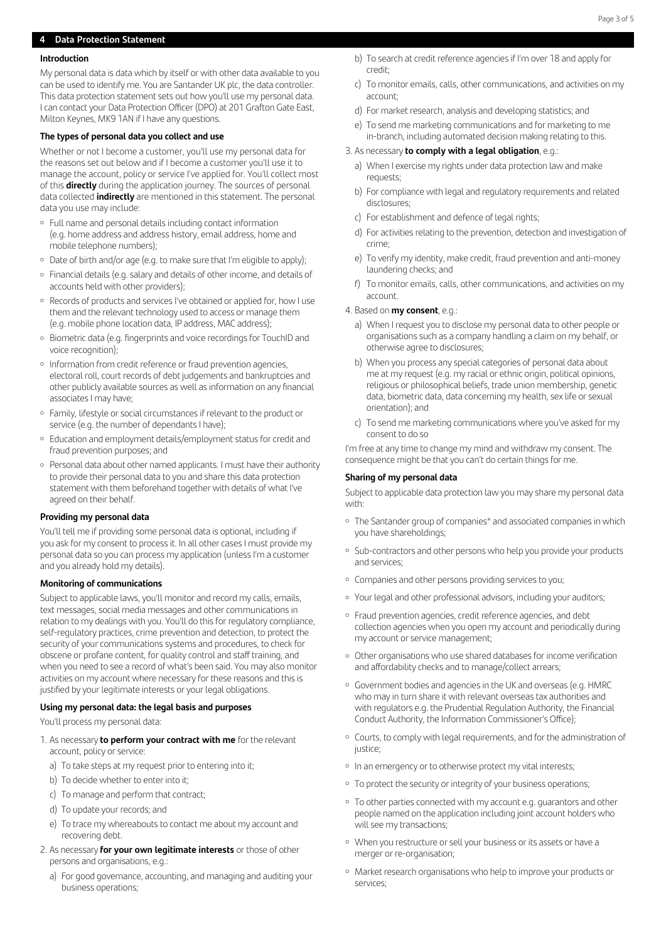# **4 Data Protection Statement**

# **Introduction**

My personal data is data which by itself or with other data available to you can be used to identify me. You are Santander UK plc, the data controller. This data protection statement sets out how you'll use my personal data. I can contact your Data Protection Officer (DPO) at 201 Grafton Gate East, Milton Keynes, MK9 1AN if I have any questions.

# **The types of personal data you collect and use**

Whether or not I become a customer, you'll use my personal data for the reasons set out below and if I become a customer you'll use it to manage the account, policy or service I've applied for. You'll collect most of this **directly** during the application journey. The sources of personal data collected **indirectly** are mentioned in this statement. The personal data you use may include:

- ¡ Full name and personal details including contact information (e.g. home address and address history, email address, home and mobile telephone numbers);
- Date of birth and/or age (e.g. to make sure that I'm eligible to apply);
- ¡ Financial details (e.g. salary and details of other income, and details of accounts held with other providers);
- Records of products and services I've obtained or applied for, how I use them and the relevant technology used to access or manage them (e.g. mobile phone location data, IP address, MAC address);
- ¡ Biometric data (e.g. fingerprints and voice recordings for TouchID and voice recognition);
- o Information from credit reference or fraud prevention agencies, electoral roll, court records of debt judgements and bankruptcies and other publicly available sources as well as information on any financial associates I may have;
- ¡ Family, lifestyle or social circumstances if relevant to the product or service (e.g. the number of dependants I have);
- ¡ Education and employment details/employment status for credit and fraud prevention purposes; and
- ¡ Personal data about other named applicants. I must have their authority to provide their personal data to you and share this data protection statement with them beforehand together with details of what I've agreed on their behalf.

#### **Providing my personal data**

You'll tell me if providing some personal data is optional, including if you ask for my consent to process it. In all other cases I must provide my personal data so you can process my application (unless I'm a customer and you already hold my details).

#### **Monitoring of communications**

Subject to applicable laws, you'll monitor and record my calls, emails, text messages, social media messages and other communications in relation to my dealings with you. You'll do this for regulatory compliance, self-regulatory practices, crime prevention and detection, to protect the security of your communications systems and procedures, to check for obscene or profane content, for quality control and staff training, and when you need to see a record of what's been said. You may also monitor activities on my account where necessary for these reasons and this is justified by your legitimate interests or your legal obligations.

#### **Using my personal data: the legal basis and purposes**

You'll process my personal data:

- 1. As necessary **to perform your contract with me** for the relevant account, policy or service:
	- a) To take steps at my request prior to entering into it;
	- b) To decide whether to enter into it;
	- c) To manage and perform that contract;
	- d) To update your records; and
	- e) To trace my whereabouts to contact me about my account and recovering debt.
- 2. As necessary **for your own legitimate interests** or those of other persons and organisations, e.g.:
	- a) For good governance, accounting, and managing and auditing your business operations;
- b) To search at credit reference agencies if I'm over 18 and apply for credit;
- c) To monitor emails, calls, other communications, and activities on my account;
- d) For market research, analysis and developing statistics; and
- e) To send me marketing communications and for marketing to me in-branch, including automated decision making relating to this.

# 3. As necessary **to comply with a legal obligation**, e.g.:

- a) When I exercise my rights under data protection law and make requests;
- b) For compliance with legal and regulatory requirements and related disclosures;
- c) For establishment and defence of legal rights;
- d) For activities relating to the prevention, detection and investigation of crime;
- e) To verify my identity, make credit, fraud prevention and anti-money laundering checks; and
- f) To monitor emails, calls, other communications, and activities on my account.

# 4. Based on **my consent**, e.g.:

- a) When I request you to disclose my personal data to other people or organisations such as a company handling a claim on my behalf, or otherwise agree to disclosures;
- b) When you process any special categories of personal data about me at my request (e.g. my racial or ethnic origin, political opinions, religious or philosophical beliefs, trade union membership, genetic data, biometric data, data concerning my health, sex life or sexual orientation); and
- c) To send me marketing communications where you've asked for my consent to do so

I'm free at any time to change my mind and withdraw my consent. The consequence might be that you can't do certain things for me.

#### **Sharing of my personal data**

Subject to applicable data protection law you may share my personal data with:

- The Santander group of companies\* and associated companies in which you have shareholdings;
- Sub-contractors and other persons who help you provide your products and services;
- ¡ Companies and other persons providing services to you;
- ¡ Your legal and other professional advisors, including your auditors;
- o Fraud prevention agencies, credit reference agencies, and debt collection agencies when you open my account and periodically during my account or service management;
- ¡ Other organisations who use shared databases for income verification and affordability checks and to manage/collect arrears;
- ¡ Government bodies and agencies in the UK and overseas (e.g. HMRC who may in turn share it with relevant overseas tax authorities and with regulators e.g. the Prudential Regulation Authority, the Financial Conduct Authority, the Information Commissioner's Office);
- <sup>o</sup> Courts, to comply with legal requirements, and for the administration of justice;
- In an emergency or to otherwise protect my vital interests:
- To protect the security or integrity of your business operations;
- To other parties connected with my account e.g. quarantors and other people named on the application including joint account holders who will see my transactions;
- ¡ When you restructure or sell your business or its assets or have a merger or re-organisation;
- <sup>o</sup> Market research organisations who help to improve your products or services;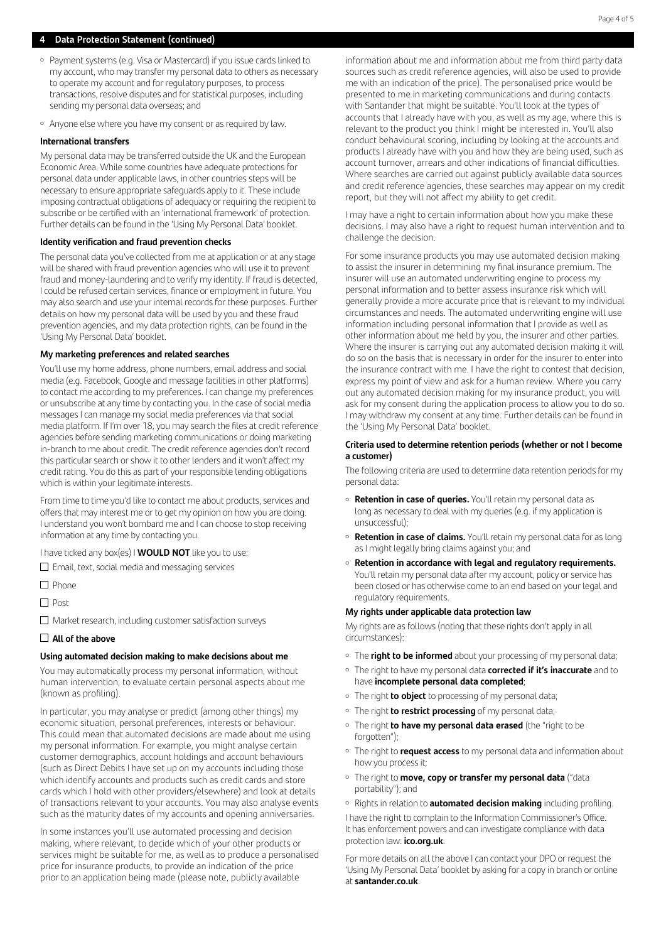# **4 Data Protection Statement (continued)**

- ¡ Payment systems (e.g. Visa or Mastercard) if you issue cards linked to my account, who may transfer my personal data to others as necessary to operate my account and for regulatory purposes, to process transactions, resolve disputes and for statistical purposes, including sending my personal data overseas; and
- Anvone else where you have my consent or as required by law.

#### **International transfers**

My personal data may be transferred outside the UK and the European Economic Area. While some countries have adequate protections for personal data under applicable laws, in other countries steps will be necessary to ensure appropriate safeguards apply to it. These include imposing contractual obligations of adequacy or requiring the recipient to subscribe or be certified with an 'international framework' of protection. Further details can be found in the 'Using My Personal Data' booklet.

## **Identity verification and fraud prevention checks**

The personal data you've collected from me at application or at any stage will be shared with fraud prevention agencies who will use it to prevent fraud and money-laundering and to verify my identity. If fraud is detected, I could be refused certain services, finance or employment in future. You may also search and use your internal records for these purposes. Further details on how my personal data will be used by you and these fraud prevention agencies, and my data protection rights, can be found in the 'Using My Personal Data' booklet.

### **My marketing preferences and related searches**

You'll use my home address, phone numbers, email address and social media (e.g. Facebook, Google and message facilities in other platforms) to contact me according to my preferences. I can change my preferences or unsubscribe at any time by contacting you. In the case of social media messages I can manage my social media preferences via that social media platform. If I'm over 18, you may search the files at credit reference agencies before sending marketing communications or doing marketing in-branch to me about credit. The credit reference agencies don't record this particular search or show it to other lenders and it won't affect my credit rating. You do this as part of your responsible lending obligations which is within your legitimate interests.

From time to time you'd like to contact me about products, services and offers that may interest me or to get my opinion on how you are doing. I understand you won't bombard me and I can choose to stop receiving information at any time by contacting you.

I have ticked any box(es) I **WOULD NOT** like you to use:

 $\square$  Email, text, social media and messaging services

- $\Box$  Phone
- $\Box$  Post

 $\Box$  Market research, including customer satisfaction surveys

# **All of the above**

#### **Using automated decision making to make decisions about me**

You may automatically process my personal information, without human intervention, to evaluate certain personal aspects about me (known as profiling).

In particular, you may analyse or predict (among other things) my economic situation, personal preferences, interests or behaviour. This could mean that automated decisions are made about me using my personal information. For example, you might analyse certain customer demographics, account holdings and account behaviours (such as Direct Debits I have set up on my accounts including those which identify accounts and products such as credit cards and store cards which I hold with other providers/elsewhere) and look at details of transactions relevant to your accounts. You may also analyse events such as the maturity dates of my accounts and opening anniversaries.

In some instances you'll use automated processing and decision making, where relevant, to decide which of your other products or services might be suitable for me, as well as to produce a personalised price for insurance products, to provide an indication of the price prior to an application being made (please note, publicly available

information about me and information about me from third party data sources such as credit reference agencies, will also be used to provide me with an indication of the price). The personalised price would be presented to me in marketing communications and during contacts with Santander that might be suitable. You'll look at the types of accounts that I already have with you, as well as my age, where this is relevant to the product you think I might be interested in. You'll also conduct behavioural scoring, including by looking at the accounts and products I already have with you and how they are being used, such as account turnover, arrears and other indications of financial difficulties. Where searches are carried out against publicly available data sources and credit reference agencies, these searches may appear on my credit report, but they will not affect my ability to get credit.

I may have a right to certain information about how you make these decisions. I may also have a right to request human intervention and to challenge the decision.

For some insurance products you may use automated decision making to assist the insurer in determining my final insurance premium. The insurer will use an automated underwriting engine to process my personal information and to better assess insurance risk which will generally provide a more accurate price that is relevant to my individual circumstances and needs. The automated underwriting engine will use information including personal information that I provide as well as other information about me held by you, the insurer and other parties. Where the insurer is carrying out any automated decision making it will do so on the basis that is necessary in order for the insurer to enter into the insurance contract with me. I have the right to contest that decision, express my point of view and ask for a human review. Where you carry out any automated decision making for my insurance product, you will ask for my consent during the application process to allow you to do so. I may withdraw my consent at any time. Further details can be found in the 'Using My Personal Data' booklet.

# **Criteria used to determine retention periods (whether or not I become a customer)**

The following criteria are used to determine data retention periods for my personal data:

- **Retention in case of queries.** You'll retain my personal data as long as necessary to deal with my queries (e.g. if my application is unsuccessful);
- **Retention in case of claims.** You'll retain my personal data for as long as I might legally bring claims against you; and
- ¡ **Retention in accordance with legal and regulatory requirements.** You'll retain my personal data after my account, policy or service has been closed or has otherwise come to an end based on your legal and regulatory requirements.

# **My rights under applicable data protection law**

My rights are as follows (noting that these rights don't apply in all circumstances):

- The **right to be informed** about your processing of my personal data;
- ¡ The right to have my personal data **corrected if it's inaccurate** and to have **incomplete personal data completed**;
- ¡ The right **to object** to processing of my personal data;
- ¡ The right **to restrict processing** of my personal data;
- ¡ The right **to have my personal data erased** (the "right to be forgotten");
- ¡ The right to **request access** to my personal data and information about how you process it;
- ¡ The right to **move, copy or transfer my personal data** ("data portability"); and
- ¡ Rights in relation to **automated decision making** including profiling.

I have the right to complain to the Information Commissioner's Office. It has enforcement powers and can investigate compliance with data protection law: **[ico.org.uk](http://ico.org.uk)**.

For more details on all the above I can contact your DPO or request the 'Using My Personal Data' booklet by asking for a copy in branch or online at **[santander.co.uk](http://santander.co.uk)**.